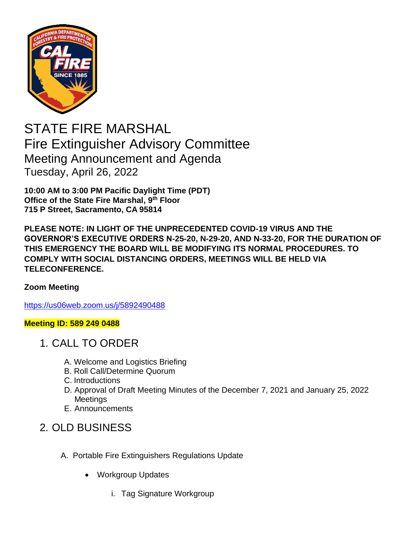

STATE FIRE MARSHAL Fire Extinguisher Advisory Committee Meeting Announcement and Agenda Tuesday, April 26, 2022

**10:00 AM to 3:00 PM Pacific Daylight Time (PDT) Office of the State Fire Marshal, 9 th Floor 715 P Street, Sacramento, CA 95814**

**PLEASE NOTE: IN LIGHT OF THE UNPRECEDENTED COVID-19 VIRUS AND THE GOVERNOR'S EXECUTIVE ORDERS N-25-20, N-29-20, AND N-33-20, FOR THE DURATION OF THIS EMERGENCY THE BOARD WILL BE MODIFYING ITS NORMAL PROCEDURES. TO COMPLY WITH SOCIAL DISTANCING ORDERS, MEETINGS WILL BE HELD VIA TELECONFERENCE.**

## **Zoom Meeting**

<https://us06web.zoom.us/j/5892490488>

## **Meeting ID: 589 249 0488**

- 1. CALL TO ORDER
	- A. Welcome and Logistics Briefing
	- B. Roll Call/Determine Quorum
	- C. Introductions
	- D. Approval of Draft Meeting Minutes of the December 7, 2021 and January 25, 2022 **Meetings**
	- E. Announcements

## 2. OLD BUSINESS

- A. Portable Fire Extinguishers Regulations Update
	- Workgroup Updates
		- i. Tag Signature Workgroup